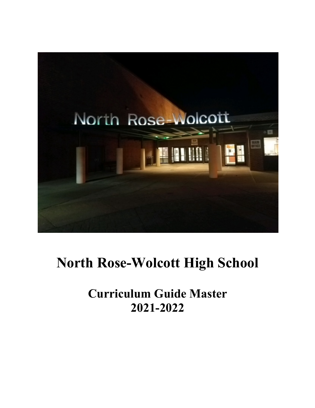

# **North Rose-Wolcott High School**

**Curriculum Guide Master 2021-2022**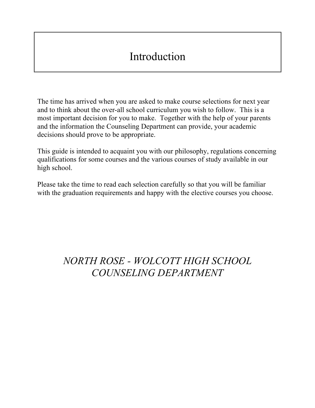# Introduction

The time has arrived when you are asked to make course selections for next year and to think about the over-all school curriculum you wish to follow. This is a most important decision for you to make. Together with the help of your parents and the information the Counseling Department can provide, your academic decisions should prove to be appropriate.

This guide is intended to acquaint you with our philosophy, regulations concerning qualifications for some courses and the various courses of study available in our high school.

Please take the time to read each selection carefully so that you will be familiar with the graduation requirements and happy with the elective courses you choose.

## *NORTH ROSE - WOLCOTT HIGH SCHOOL COUNSELING DEPARTMENT*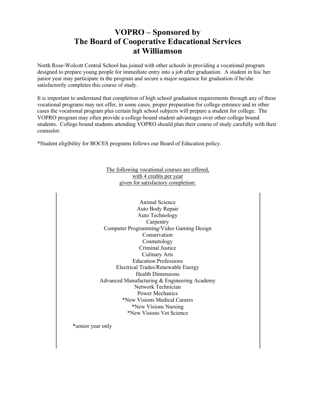## **VOPRO – Sponsored by The Board of Cooperative Educational Services at Williamson**

North Rose-Wolcott Central School has joined with other schools in providing a vocational program designed to prepare young people for immediate entry into a job after graduation. A student in his/ her junior year may participate in the program and secure a major sequence for graduation if he/she satisfactorily completes this course of study.

It is important to understand that completion of high school graduation requirements through any of these vocational programs may not offer, in some cases, proper preparation for college entrance and in other cases the vocational program plus certain high school subjects will prepare a student for college. The VOPRO program may often provide a college bound student advantages over other college bound students. College bound students attending VOPRO should plan their course of study carefully with their counselor.

\*Student eligibility for BOCES programs follows our Board of Education policy.

The following vocational courses are offered, with 4 credits per year given for satisfactory completion:

Animal Science Auto Body Repair Auto Technology **Carpentry** Computer Programming/Video Gaming Design Conservation Cosmetology Criminal Justice Culinary Arts Education Professions Electrical Trades/Renewable Energy Health Dimensions Advanced Manufacturing & Engineering Academy Network Technician Power Mechanics \*New Visions Medical Careers \*New Visions Nursing \*New Visions Vet Science

\*senior year only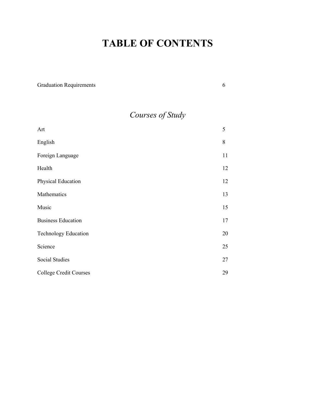## **TABLE OF CONTENTS**

| <b>Graduation Requirements</b> | 6  |
|--------------------------------|----|
| Courses of Study               |    |
| Art                            | 5  |
| English                        | 8  |
| Foreign Language               | 11 |
| Health                         | 12 |
| Physical Education             | 12 |
| Mathematics                    | 13 |
| Music                          | 15 |
| <b>Business Education</b>      | 17 |
| <b>Technology Education</b>    | 20 |
| Science                        | 25 |
| <b>Social Studies</b>          | 27 |
| <b>College Credit Courses</b>  | 29 |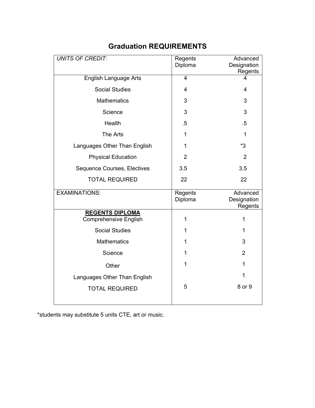| <b>UNITS OF CREDIT:</b>                         | Regents<br>Diploma | Advanced<br>Designation            |
|-------------------------------------------------|--------------------|------------------------------------|
|                                                 |                    | Regents                            |
| <b>English Language Arts</b>                    | $\overline{4}$     | 4                                  |
| <b>Social Studies</b>                           | 4                  | 4                                  |
| <b>Mathematics</b>                              | 3                  | 3                                  |
| Science                                         | 3                  | 3                                  |
| Health                                          | $.5\,$             | $.5\,$                             |
| The Arts                                        | 1                  | $\mathbf{1}$                       |
| Languages Other Than English                    | 1                  | *3                                 |
| <b>Physical Education</b>                       | $\overline{2}$     | $\overline{2}$                     |
| Sequence Courses, Electives                     | 3.5                | 3.5                                |
| <b>TOTAL REQUIRED</b>                           | 22                 | 22                                 |
| <b>EXAMINATIONS:</b>                            | Regents<br>Diploma | Advanced<br>Designation<br>Regents |
| <b>REGENTS DIPLOMA</b><br>Comprehensive English | 1                  | 1                                  |
| <b>Social Studies</b>                           | 1                  | 1                                  |
| <b>Mathematics</b>                              | 1                  | 3                                  |
| Science                                         | 1                  | $\overline{2}$                     |
| Other                                           | 1                  | 1                                  |
| Languages Other Than English                    |                    | 1                                  |
| <b>TOTAL REQUIRED</b>                           | 5                  | 8 or 9                             |

## **Graduation REQUIREMENTS**

\*students may substitute 5 units CTE, art or music.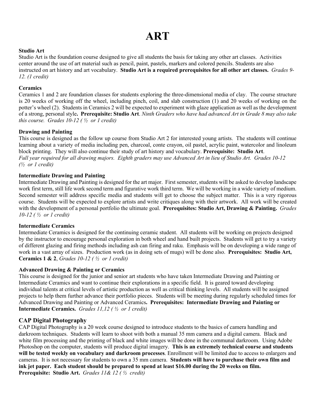# **ART**

#### **Studio Art**

Studio Art is the foundation course designed to give all students the basis for taking any other art classes. Activities center around the use of art material such as pencil, paint, pastels, markers and colored pencils. Students are also instructed on art history and art vocabulary. **Studio Art is a required prerequisites for all other art classes.** *Grades 9- 12. (1 credit)*

#### **Ceramics**

Ceramics 1 and 2 are foundation classes for students exploring the three-dimensional media of clay. The course structure is 20 weeks of working off the wheel, including pinch, coil, and slab construction (1) and 20 weeks of working on the potter's wheel (2). Students in Ceramics 2 will be expected to experiment with glaze application as well as the development of a strong, personal style**. Prerequisite: Studio Art**. *Ninth Graders who have had advanced Art in Grade 8 may also take this course. Grades 10-12 ( ½ or 1 credit)*

#### **Drawing and Painting**

This course is designed as the follow up course from Studio Art 2 for interested young artists. The students will continue learning about a variety of media including pen, charcoal, conte crayon, oil pastel, acrylic paint, watercolor and linoleum block printing. They will also continue their study of art history and vocabulary. **Prerequisite: Studio Art**. *Full year required for all drawing majors. Eighth graders may use Advanced Art in lieu of Studio Art. Grades 10-12 (½ or 1 credit)*

#### **Intermediate Drawing and Painting**

Intermediate Drawing and Painting is designed for the art major. First semester, students will be asked to develop landscape work first term, still life work second term and figurative work third term. We will be working in a wide variety of medium. Second semester will address specific media and students will get to choose the subject matter. This is a very rigorous course. Students will be expected to explore artists and write critiques along with their artwork. All work will be created with the development of a personal portfolio the ultimate goal. **Prerequisites: Studio Art, Drawing & Painting.** *Grades 10-12 ( ½ or 1 credit)*

#### **Intermediate Ceramics**

Intermediate Ceramics is designed for the continuing ceramic student. All students will be working on projects designed by the instructor to encourage personal exploration in both wheel and hand built projects. Students will get to try a variety of different glazing and firing methods including ash can firing and raku. Emphasis will be on developing a wide range of work in a vast array of sizes. Production work (as in doing sets of mugs) will be done also. **Prerequisites: Studio Art, Ceramics 1 & 2**, *Grades 10-12 ( ½ or 1 credit)*

#### **Advanced Drawing & Painting or Ceramics**

This course is designed for the junior and senior art students who have taken Intermediate Drawing and Painting or Intermediate Ceramics and want to continue their explorations in a specific field. It is geared toward developing individual talents at critical levels of artistic production as well as critical thinking levels. All students will be assigned projects to help them further advance their portfolio pieces. Students will be meeting during regularly scheduled times for Advanced Drawing and Painting or Advanced Ceramics**. Prerequisites: Intermediate Drawing and Painting or Intermediate Ceramics.** *Grades 11,12 ( ½ or 1 credit)*

#### **CAP Digital Photography**

CAP Digital Photography is a 20 week course designed to introduce students to the basics of camera handling and darkroom techniques. Students will learn to shoot with both a manual 35 mm camera and a digital camera. Black and white film processing and the printing of black and white images will be done in the communal darkroom. Using Adobe Photoshop on the computer, students will produce digital imagery. **This is an extremely technical course and students will be tested weekly on vocabulary and darkroom processes**. Enrollment will be limited due to access to enlargers and cameras. It is not necessary for students to own a 35 mm camera. **Students will have to purchase their own film and ink jet paper. Each student should be prepared to spend at least \$16.00 during the 20 weeks on film. Prerequisite: Studio Art.** *Grades 11& 12 ( ½ credit)*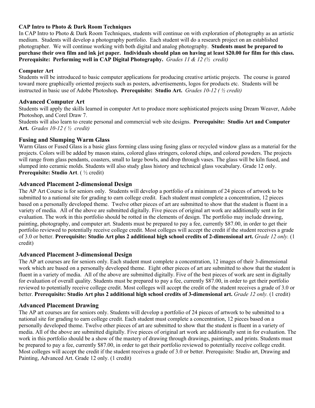#### **CAP Intro to Photo & Dark Room Techniques**

In CAP Intro to Photo & Dark Room Techniques, students will continue on with exploration of photography as an artistic medium. Students will develop a photography portfolio. Each student will do a research project on an established photographer. We will continue working with both digital and analog photography. **Students must be prepared to purchase their own film and ink jet paper. Individuals should plan on having at least \$20.00 for film for this class. Prerequisite: Performing well in CAP Digital Photography.** *Grades 11 & 12 (½ credit)*

#### **Computer Art**

Students will be introduced to basic computer applications for producing creative artistic projects. The course is geared toward more graphically oriented projects such as posters, advertisements, logos for products etc. Students will be instructed in basic use of Adobe Photoshop**. Prerequisite: Studio Art.** *Grades 10-12 ( ½ credit)*

#### **Advanced Computer Art**

Students will apply the skills learned in computer Art to produce more sophisticated projects using Dream Weaver, Adobe Photoshop, and Corel Draw 7.

Students will also learn to create personal and commercial web site designs. **Prerequisite: Studio Art and Computer Art.** *Grades 10-12 ( ½ credit)*

#### **Fusing and Slumping Warm Glass**

Warm Glass or Fused Glass is a basic glass forming class using fusing glass or recycled window glass as a material for the projects. Colors will be added by mason stains, colored glass stringers, colored chips, and colored powders. The projects will range from glass pendants, coasters, small to large bowls, and drop through vases. The glass will be kiln fused, and slumped into ceramic molds. Students will also study glass history and technical glass vocabulary. Grade 12 only. **Prerequisite: Studio Art**. ( ½ credit)

#### **Advanced Placement 2-dimensional Design**

The AP Art Course is for seniors only. Students will develop a portfolio of a minimum of 24 pieces of artwork to be submitted to a national site for grading to earn college credit. Each student must complete a concentration, 12 pieces based on a personally developed theme. Twelve other pieces of art are submitted to show that the student is fluent in a variety of media. All of the above are submitted digitally. Five pieces of original art work are additionally sent in for evaluation. The work in this portfolio should be rotted in the elements of design. The portfolio may include drawing, painting, photography, and computer art. Students must be prepared to pay a fee, currently \$87.00, in order to get their portfolio reviewed to potentially receive college credit. Most colleges will accept the credit if the student receives a grade of 3.0 or better. **Prerequisite: Studio Art plus 2 additional high school credits of 2-dimensional art.** *Grade 12 only.* (1 credit)

#### **Advanced Placement 3-dimensional Design**

The AP art courses are for seniors only. Each student must complete a concentration, 12 images of their 3-dimensional work which are based on a personally developed theme. Eight other pieces of art are submitted to show that the student is fluent in a variety of media. All of the above are submitted digitally. Five of the best pieces of work are sent in digitally for evaluation of overall quality. Students must be prepared to pay a fee, currently \$87.00, in order to get their portfolio reviewed to potentially receive college credit. Most colleges will accept the credit of the student receives a grade of 3.0 or better. **Prerequisite: Studio Art plus 2 additional high school credits of 3-dimensional art.** *Grade 12 only.* (1 credit)

#### **Advanced Placement Drawing**

The AP art courses are for seniors only. Students will develop a portfolio of 24 pieces of artwork to be submitted to a national site for grading to earn college credit. Each student must complete a concentration, 12 pieces based on a personally developed theme. Twelve other pieces of art are submitted to show that the student is fluent in a variety of media. All of the above are submitted digitally. Five pieces of original art work are additionally sent in for evaluation. The work in this portfolio should be a show of the mastery of drawing through drawings, paintings, and prints. Students must be prepared to pay a fee, currently \$87.00, in order to get their portfolio reviewed to potentially receive college credit. Most colleges will accept the credit if the student receives a grade of 3.0 or better. Prerequisite: Studio art, Drawing and Painting, Advanced Art. Grade 12 only. (1 credit)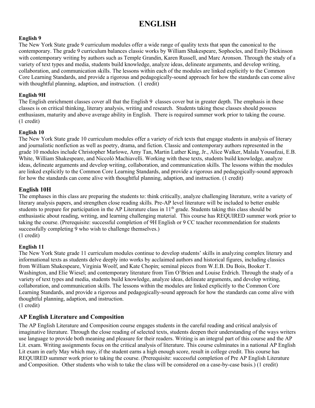## **ENGLISH**

#### **English 9**

The New York State grade 9 curriculum modules offer a wide range of quality texts that span the canonical to the contemporary. The grade 9 curriculum balances classic works by William Shakespeare, Sophocles, and Emily Dickinson with contemporary writing by authors such as Temple Grandin, Karen Russell, and Marc Aronson. Through the study of a variety of text types and media, students build knowledge, analyze ideas, delineate arguments, and develop writing, collaboration, and communication skills. The lessons within each of the modules are linked explicitly to the Common Core Learning Standards, and provide a rigorous and pedagogically-sound approach for how the standards can come alive with thoughtful planning, adaption, and instruction. (1 credit)

#### **English 9H**

The English enrichment classes cover all that the English 9 classes cover but in greater depth. The emphasis in these classes is on critical thinking, literary analysis, writing and research. Students taking these classes should possess enthusiasm, maturity and above average ability in English. There is required summer work prior to taking the course. (1 credit)

#### **English 10**

The New York State grade 10 curriculum modules offer a variety of rich texts that engage students in analysis of literary and journalistic nonfiction as well as poetry, drama, and fiction. Classic and contemporary authors represented in the grade 10 modules include Christopher Marlowe, Amy Tan, Martin Luther King, Jr., Alice Walker, Malala Yousafzai, E.B. White, William Shakespeare, and Niccolò Machiavelli. Working with these texts, students build knowledge, analyze ideas, delineate arguments and develop writing, collaboration, and communication skills. The lessons within the modules are linked explicitly to the Common Core Learning Standards, and provide a rigorous and pedagogically-sound approach for how the standards can come alive with thoughtful planning, adaption, and instruction. (1 credit)

#### **English 10H**

The emphases in this class are preparing the students to: think critically, analyze challenging literature, write a variety of literary analysis papers, and strengthen close reading skills. Pre-AP level literature will be included to better enable students to prepare for participation in the AP Literature class in 11<sup>th</sup> grade. Students taking this class should be enthusiastic about reading, writing, and learning challenging material. This course has REQUIRED summer work prior to taking the course. (Prerequisite: successful completion of 9H English or 9 CC teacher recommendation for students successfully completing 9 who wish to challenge themselves.) (1 credit)

#### **English 11**

The New York State grade 11 curriculum modules continue to develop students' skills in analyzing complex literary and informational texts as students delve deeply into works by acclaimed authors and historical figures, including classics from William Shakespeare, Virginia Woolf, and Kate Chopin; seminal pieces from W.E.B. Du Bois, Booker T. Washington, and Elie Wiesel; and contemporary literature from Tim O'Brien and Louise Erdrich. Through the study of a variety of text types and media, students build knowledge, analyze ideas, delineate arguments, and develop writing, collaboration, and communication skills. The lessons within the modules are linked explicitly to the Common Core Learning Standards, and provide a rigorous and pedagogically-sound approach for how the standards can come alive with thoughtful planning, adaption, and instruction. (1 credit)

#### **AP English Literature and Composition**

The AP English Literature and Composition course engages students in the careful reading and critical analysis of imaginative literature. Through the close reading of selected texts, students deepen their understanding of the ways writers use language to provide both meaning and pleasure for their readers. Writing is an integral part of this course and the AP Lit. exam. Writing assignments focus on the critical analysis of literature. This course culminates in a national AP English Lit exam in early May which may, if the student earns a high enough score, result in college credit. This course has REQUIRED summer work prior to taking the course. (Prerequisite: successful completion of Pre AP English Literature and Composition. Other students who wish to take the class will be considered on a case-by-case basis.) (1 credit)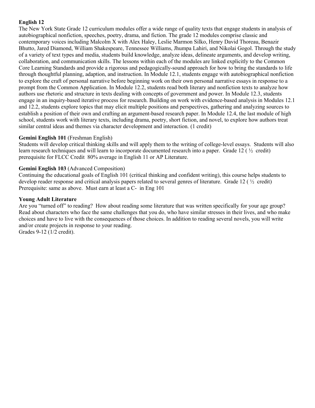#### **English 12**

The New York State Grade 12 curriculum modules offer a wide range of quality texts that engage students in analysis of autobiographical nonfiction, speeches, poetry, drama, and fiction. The grade 12 modules comprise classic and contemporary voices including Malcolm X with Alex Haley, Leslie Marmon Silko, Henry David Thoreau, Benazir Bhutto, Jared Diamond, William Shakespeare, Tennessee Williams, Jhumpa Lahiri, and Nikolai Gogol. Through the study of a variety of text types and media, students build knowledge, analyze ideas, delineate arguments, and develop writing, collaboration, and communication skills. The lessons within each of the modules are linked explicitly to the Common Core Learning Standards and provide a rigorous and pedagogically-sound approach for how to bring the standards to life through thoughtful planning, adaption, and instruction. In Module 12.1, students engage with autobiographical nonfiction to explore the craft of personal narrative before beginning work on their own personal narrative essays in response to a prompt from the Common Application. In Module 12.2, students read both literary and nonfiction texts to analyze how authors use rhetoric and structure in texts dealing with concepts of government and power. In Module 12.3, students engage in an inquiry-based iterative process for research. Building on work with evidence-based analysis in Modules 12.1 and 12.2, students explore topics that may elicit multiple positions and perspectives, gathering and analyzing sources to establish a position of their own and crafting an argument-based research paper. In Module 12.4, the last module of high school, students work with literary texts, including drama, poetry, short fiction, and novel, to explore how authors treat similar central ideas and themes via character development and interaction. (1 credit)

#### **Gemini English 101** (Freshman English)

Students will develop critical thinking skills and will apply them to the writing of college-level essays. Students will also learn research techniques and will learn to incorporate documented research into a paper. Grade 12 ( ½ credit) prerequisite for FLCC Credit 80% average in English 11 or AP Literature.

#### **Gemini English 103** (Advanced Composition)

Continuing the educational goals of English 101 (critical thinking and confident writing), this course helps students to develop reader response and critical analysis papers related to several genres of literature. Grade 12 ( $\frac{1}{2}$  credit) Prerequisite: same as above. Must earn at least a C- in Eng 101

#### **Young Adult Literature**

Are you "turned off" to reading? How about reading some literature that was written specifically for your age group? Read about characters who face the same challenges that you do, who have similar stresses in their lives, and who make choices and have to live with the consequences of those choices. In addition to reading several novels, you will write and/or create projects in response to your reading. Grades 9-12 (1/2 credit).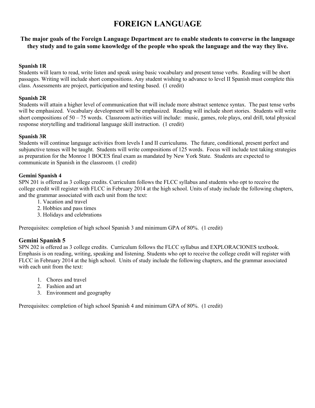## **FOREIGN LANGUAGE**

#### **The major goals of the Foreign Language Department are to enable students to converse in the language they study and to gain some knowledge of the people who speak the language and the way they live.**

#### **Spanish 1R**

Students will learn to read, write listen and speak using basic vocabulary and present tense verbs. Reading will be short passages. Writing will include short compositions. Any student wishing to advance to level II Spanish must complete this class. Assessments are project, participation and testing based. (1 credit)

#### **Spanish 2R**

Students will attain a higher level of communication that will include more abstract sentence syntax. The past tense verbs will be emphasized. Vocabulary development will be emphasized. Reading will include short stories. Students will write short compositions of  $50 - 75$  words. Classroom activities will include: music, games, role plays, oral drill, total physical response storytelling and traditional language skill instruction. (1 credit)

#### **Spanish 3R**

Students will continue language activities from levels I and II curriculums. The future, conditional, present perfect and subjunctive tenses will be taught. Students will write compositions of 125 words. Focus will include test taking strategies as preparation for the Monroe 1 BOCES final exam as mandated by New York State. Students are expected to communicate in Spanish in the classroom. (1 credit)

#### **Gemini Spanish 4**

SPN 201 is offered as 3 college credits. Curriculum follows the FLCC syllabus and students who opt to receive the college credit will register with FLCC in February 2014 at the high school. Units of study include the following chapters, and the grammar associated with each unit from the text:

- 1. Vacation and travel
- 2. Hobbies and pass times
- 3. Holidays and celebrations

Prerequisites: completion of high school Spanish 3 and minimum GPA of 80%. (1 credit)

#### **Gemini Spanish 5**

SPN 202 is offered as 3 college credits. Curriculum follows the FLCC syllabus and EXPLORACIONES textbook. Emphasis is on reading, writing, speaking and listening. Students who opt to receive the college credit will register with FLCC in February 2014 at the high school. Units of study include the following chapters, and the grammar associated with each unit from the text:

- 1. Chores and travel
- 2. Fashion and art
- 3. Environment and geography

Prerequisites: completion of high school Spanish 4 and minimum GPA of 80%. (1 credit)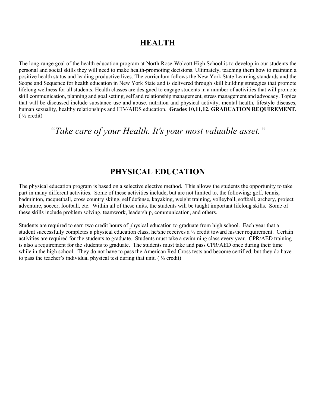### **HEALTH**

The long-range goal of the health education program at North Rose-Wolcott High School is to develop in our students the personal and social skills they will need to make health-promoting decisions. Ultimately, teaching them how to maintain a positive health status and leading productive lives. The curriculum follows the New York State Learning standards and the Scope and Sequence for health education in New York State and is delivered through skill building strategies that promote lifelong wellness for all students. Health classes are designed to engage students in a number of activities that will promote skill communication, planning and goal setting, self and relationship management, stress management and advocacy. Topics that will be discussed include substance use and abuse, nutrition and physical activity, mental health, lifestyle diseases, human sexuality, healthy relationships and HIV/AIDS education. **Grades 10,11,12. GRADUATION REQUIREMENT.**  $($  ½ credit)

*"Take care of your Health. It's your most valuable asset."*

### **PHYSICAL EDUCATION**

The physical education program is based on a selective elective method. This allows the students the opportunity to take part in many different activities. Some of these activities include, but are not limited to, the following: golf, tennis, badminton, racquetball, cross country skiing, self defense, kayaking, weight training, volleyball, softball, archery, project adventure, soccer, football, etc. Within all of these units, the students will be taught important lifelong skills. Some of these skills include problem solving, teamwork, leadership, communication, and others.

Students are required to earn two credit hours of physical education to graduate from high school. Each year that a student successfully completes a physical education class, he/she receives a  $\frac{1}{2}$  credit toward his/her requirement. Certain activities are required for the students to graduate. Students must take a swimming class every year. CPR/AED training is also a requirement for the students to graduate. The students must take and pass CPR/AED once during their time while in the high school. They do not have to pass the American Red Cross tests and become certified, but they do have to pass the teacher's individual physical test during that unit. ( $\frac{1}{2}$  credit)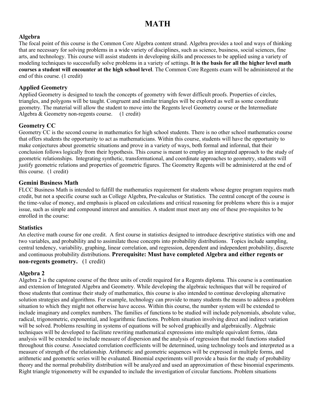## **MATH**

#### **Algebra**

The focal point of this course is the Common Core Algebra content strand. Algebra provides a tool and ways of thinking that are necessary for solving problems in a wide variety of disciplines, such as science, business, social sciences, fine arts, and technology. This course will assist students in developing skills and processes to be applied using a variety of modeling techniques to successfully solve problems in a variety of settings. **It is the basis for all the higher level math courses a student will encounter at the high school level**. The Common Core Regents exam will be administered at the end of this course. (1 credit)

#### **Applied Geometry**

Applied Geometry is designed to teach the concepts of geometry with fewer difficult proofs. Properties of circles, triangles, and polygons will be taught. Congruent and similar triangles will be explored as well as some coordinate geometry. The material will allow the student to move into the Regents level Geometry course or the Intermediate Algebra & Geometry non-regents course. (1 credit)

#### **Geometry CC**

Geometry CC is the second course in mathematics for high school students. There is no other school mathematics course that offers students the opportunity to act as mathematicians. Within this course, students will have the opportunity to make conjectures about geometric situations and prove in a variety of ways, both formal and informal, that their conclusion follows logically from their hypothesis. This course is meant to employ an integrated approach to the study of geometric relationships. Integrating synthetic, transformational, and coordinate approaches to geometry, students will justify geometric relations and properties of geometric figures. The Geometry Regents will be administered at the end of this course. (1 credit)

#### **Gemini Business Math**

FLCC Business Math is intended to fulfill the mathematics requirement for students whose degree program requires math credit, but not a specific course such as College Algebra, Pre-calculus or Statistics. The central concept of the course is the time-value of money, and emphasis is placed on calculations and critical reasoning for problems where this is a major issue, such as simple and compound interest and annuities. A student must meet any one of these pre-requisites to be enrolled in the course:

#### **Statistics**

An elective math course for one credit. A first course in statistics designed to introduce descriptive statistics with one and two variables, and probability and to assimilate those concepts into probability distributions. Topics include sampling, central tendency, variability, graphing, linear correlation, and regression, dependent and independent probability, discrete and continuous probability distributions. **Prerequisite: Must have completed Algebra and either regents or non-regents geometry.** (1 credit)

#### **Algebra 2**

Algebra 2 is the capstone course of the three units of credit required for a Regents diploma. This course is a continuation and extension of Integrated Algebra and Geometry. While developing the algebraic techniques that will be required of those students that continue their study of mathematics, this course is also intended to continue developing alternative solution strategies and algorithms. For example, technology can provide to many students the means to address a problem situation to which they might not otherwise have access. Within this course, the number system will be extended to include imaginary and complex numbers. The families of functions to be studied will include polynomials, absolute value, radical, trigonometric, exponential, and logarithmic functions. Problem situation involving direct and indirect variation will be solved. Problems resulting in systems of equations will be solved graphically and algebraically. Algebraic techniques will be developed to facilitate rewriting mathematical expressions into multiple equivalent forms, /data analysis will be extended to include measure of dispersion and the analysis of regression that model functions studied throughout this course. Associated correlation coefficients will be determined, using technology tools and interpreted as a measure of strength of the relationship. Arithmetic and geometric sequences will be expressed in multiple forms, and arithmetic and geometric series will be evaluated. Binomial experiments will provide a basis for the study of probability theory and the normal probability distribution will be analyzed and used an approximation of these binomial experiments. Right triangle trigonometry will be expanded to include the investigation of circular functions. Problem situations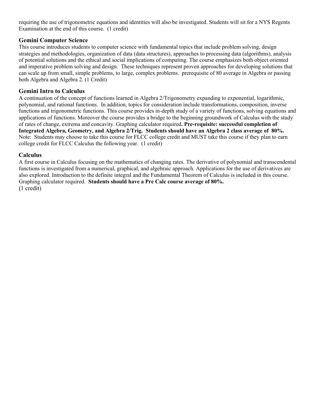requiring the use of trigonometric equations and identities will also be investigated. Students will sit for a NYS Regents Examination at the end of this course. (1 credit)

#### **Gemini Computer Science**

This course introduces students to computer science with fundamental topics that include problem solving, design strategies and methodologies, organization of data (data structures), approaches to processing data (algorithms), analysis of potential solutions and the ethical and social implications of computing. The course emphasizes both object oriented and imperative problem solving and design. These techniques represent proven approaches for developing solutions that can scale up from small, simple problems, to large, complex problems. prerequisite of 80 average in Algebra or passing both Algebra and Algebra 2. (1 Credit)

#### **Gemini Intro to Calculus**

A continuation of the concept of functions learned in Algebra 2/Trigonometry expanding to exponential, logarithmic, polynomial, and rational functions. In addition, topics for consideration include transformations, composition, inverse functions and trigonometric functions. This course provides in-depth study of a variety of functions, solving equations and applications of functions. Moreover the course provides a bridge to the beginning groundwork of Calculus with the study of rates of change, extrema and concavity. Graphing calculator required**. Pre-requisite: successful completion of Integrated Algebra, Geometry, and Algebra 2/Trig. Students should have an Algebra 2 class average of 80%.** Note: Students may choose to take this course for FLCC college credit and MUST take this course if they plan to earn college credit for FLCC Calculus the following year. (1 credit)

#### **Calculus**

A first course in Calculus focusing on the mathematics of changing rates. The derivative of polynomial and transcendental functions is investigated from a numerical, graphical, and algebraic approach. Applications for the use of derivatives are also explored. Introduction to the definite integral and the Fundamental Theorem of Calculus is included in this course. Graphing calculator required. **Students should have a Pre Calc course average of 80%.** (1 credit)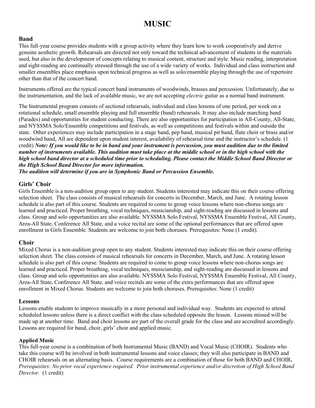## **MUSIC**

#### **Band**

This full-year course provides students with a group activity where they learn how to work cooperatively and derive genuine aesthetic growth. Rehearsals are directed not only toward the technical advancement of students in the materials used, but also in the development of concepts relating to musical content, structure and style. Music reading, interpretation and sight-reading are continually stressed through the use of a wide variety of works. Individual and class instruction and smaller ensembles place emphasis upon technical progress as well as solo/ensemble playing through the use of repertoire other than that of the concert band.

Instruments offered are the typical concert band instruments of woodwinds, brasses and percussion. Unfortunately, due to the instrumentation, and the lack of available music, we are not accepting *electric* guitar as a normal band instrument.

The Instrumental program consists of sectional rehearsals, individual and class lessons of one period, per week on a rotational schedule, small ensemble playing and full ensemble (band) rehearsals. It may also include marching band (Parades) and opportunities for student conducting. There are also opportunities for participation in All-County, All-State, and NYSSMA Solo/Ensemble competitions and festivals, as well as competitions and festivals within and outside the state. Other experiences may include participation in a stage band, pep band, musical pit band, flute choir or brass and/or woodwind band, All are dependent upon student interest, availability of rehearsal time and the instructor's schedule. (1 credit) *Note: If you would like to be in band and your instrument is percussion, you must audition due to the limited number of instruments available. This audition must take place at the middle school or in the high school with the high school band director at a scheduled time prior to scheduling. Please contact the Middle School Band Director or the High School Band Director for more information.* 

*The audition will determine if you are in Symphonic Band or Percussion Ensemble.*

#### **Girls' Choir**

Girls Ensemble is a non-audition group open to any student. Students interested may indicate this on their course offering selection sheet. The class consists of musical rehearsals for concerts in December, March, and June. A rotating lesson schedule is also part of this course. Students are required to come to group voice lessons where non-chorus songs are learned and practiced. Proper breathing, vocal techniques, musicianship, and sight-reading are discussed in lessons and class. Group and solo opportunities are also available. NYSSMA Solo Festival, NYSSMA Ensemble Festival, All County, Area-All State, Conference All State, and a voice recital are some of the optional performances that are offered upon enrollment in Girls Ensemble. Students are welcome to join both choruses. Prerequisites: None (1 credit).

#### **Choir**

Mixed Chorus is a non-audition group open to any student. Students interested may indicate this on their course offering selection sheet. The class consists of musical rehearsals for concerts in December, March, and June. A rotating lesson schedule is also part of this course. Students are required to come to group voice lessons where non-chorus songs are learned and practiced. Proper breathing, vocal techniques, musicianship, and sight-reading are discussed in lessons and class. Group and solo opportunities are also available. NYSSMA Solo Festival, NYSSMA Ensemble Festival, All County, Area-All State, Conference All State, and voice recitals are some of the extra performances that are offered upon enrollment in Mixed Chorus. Students are welcome to join both choruses. Prerequisites: None (1 credit)

#### **Lessons**

Lessons enable students to improve musically in a more personal and individual way. Students are expected to attend scheduled lessons unless there is a direct conflict with the class scheduled opposite the lesson. Lessons missed will be made up at another time. Band and choir lessons are part of the overall grade for the class and are accredited accordingly. Lessons are required for band, choir, girls' choir and applied music.

#### **Applied Music**

This full-year course is a combination of both Instrumental Music (BAND) and Vocal Music (CHOIR).Students who take this course will be involved in both instrumental lessons and voice classes; they will also participate in BAND and CHOIR rehearsals on an alternating basis. Course requirements are a combination of those for both BAND and CHOIR**.**  *Prerequisites: No prior vocal experience required. Prior instrumental experience and/or discretion of High School Band Director.* (1 credit)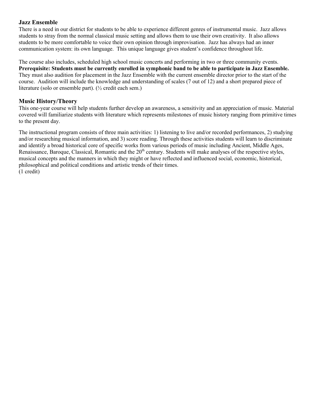#### **Jazz Ensemble**

There is a need in our district for students to be able to experience different genres of instrumental music. Jazz allows students to stray from the normal classical music setting and allows them to use their own creativity. It also allows students to be more comfortable to voice their own opinion through improvisation. Jazz has always had an inner communication system: its own language. This unique language gives student's confidence throughout life.

The course also includes, scheduled high school music concerts and performing in two or three community events. **Prerequisite: Students must be currently enrolled in symphonic band to be able to participate in Jazz Ensemble.** They must also audition for placement in the Jazz Ensemble with the current ensemble director prior to the start of the course. Audition will include the knowledge and understanding of scales (7 out of 12) and a short prepared piece of literature (solo or ensemble part). (½ credit each sem.)

#### **Music History/Theory**

This one-year course will help students further develop an awareness, a sensitivity and an appreciation of music. Material covered will familiarize students with literature which represents milestones of music history ranging from primitive times to the present day.

The instructional program consists of three main activities: 1) listening to live and/or recorded performances, 2) studying and/or researching musical information, and 3) score reading. Through these activities students will learn to discriminate and identify a broad historical core of specific works from various periods of music including Ancient, Middle Ages, Renaissance, Baroque, Classical, Romantic and the  $20<sup>th</sup>$  century. Students will make analyses of the respective styles, musical concepts and the manners in which they might or have reflected and influenced social, economic, historical, philosophical and political conditions and artistic trends of their times. (1 credit)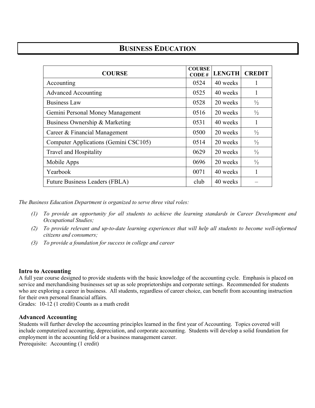## **BUSINESS EDUCATION**

| <b>COURSE</b>                         | <b>COURSE</b><br>CODE# | <b>LENGTH</b> | <b>CREDIT</b> |
|---------------------------------------|------------------------|---------------|---------------|
| Accounting                            | 0524                   | 40 weeks      | 1             |
| <b>Advanced Accounting</b>            | 0525                   | 40 weeks      | 1             |
| <b>Business Law</b>                   | 0528                   | 20 weeks      | $\frac{1}{2}$ |
| Gemini Personal Money Management      | 0516                   | 20 weeks      | $\frac{1}{2}$ |
| Business Ownership & Marketing        | 0531                   | 40 weeks      | 1             |
| Career & Financial Management         | 0500                   | 20 weeks      | $\frac{1}{2}$ |
| Computer Applications (Gemini CSC105) | 0514                   | 20 weeks      | $\frac{1}{2}$ |
| Travel and Hospitality                | 0629                   | 20 weeks      | $\frac{1}{2}$ |
| Mobile Apps                           | 0696                   | 20 weeks      | $\frac{1}{2}$ |
| Yearbook                              | 0071                   | 40 weeks      | 1             |
| Future Business Leaders (FBLA)        | club                   | 40 weeks      |               |

*The Business Education Department is organized to serve three vital roles:*

- *(1) To provide an opportunity for all students to achieve the learning standards in Career Development and Occupational Studies;*
- *(2) To provide relevant and up-to-date learning experiences that will help all students to become well-informed citizens and consumers;*
- *(3) To provide a foundation for success in college and career*

#### **Intro to Accounting**

A full year course designed to provide students with the basic knowledge of the accounting cycle. Emphasis is placed on service and merchandising businesses set up as sole proprietorships and corporate settings. Recommended for students who are exploring a career in business. All students, regardless of career choice, can benefit from accounting instruction for their own personal financial affairs.

Grades: 10-12 (1 credit) Counts as a math credit

#### **Advanced Accounting**

Students will further develop the accounting principles learned in the first year of Accounting. Topics covered will include computerized accounting, depreciation, and corporate accounting. Students will develop a solid foundation for employment in the accounting field or a business management career. Prerequisite: Accounting (1 credit)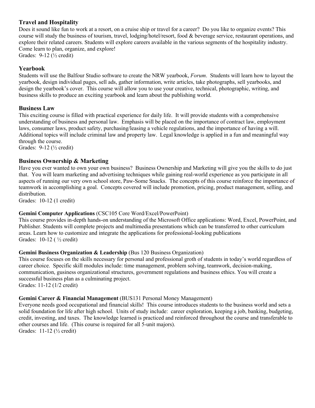#### **Travel and Hospitality**

Does it sound like fun to work at a resort, on a cruise ship or travel for a career? Do you like to organize events? This course will study the business of tourism, travel, lodging/hotel/resort, food & beverage service, restaurant operations, and explore their related careers. Students will explore careers available in the various segments of the hospitality industry. Come learn to plan, organize, and explore! Grades: 9-12 (½ credit)

#### **Yearbook**

Students will use the Balfour Studio software to create the NRW yearbook, *Forum*. Students will learn how to layout the yearbook, design individual pages, sell ads, gather information, write articles, take photographs, sell yearbooks, and design the yearbook's cover. This course will allow you to use your creative, technical, photographic, writing, and business skills to produce an exciting yearbook and learn about the publishing world.

#### **Business Law**

This exciting course is filled with practical experience for daily life. It will provide students with a comprehensive understanding of business and personal law. Emphasis will be placed on the importance of contract law, employment laws, consumer laws, product safety, purchasing/leasing a vehicle regulations, and the importance of having a will. Additional topics will include criminal law and property law. Legal knowledge is applied in a fun and meaningful way through the course.

Grades: 9-12 (½ credit)

#### **Business Ownership & Marketing**

Have you ever wanted to own your own business? Business Ownership and Marketing will give you the skills to do just that. You will learn marketing and advertising techniques while gaining real-world experience as you participate in all aspects of running our very own school store, Paw-Some Snacks. The concepts of this course reinforce the importance of teamwork in accomplishing a goal. Concepts covered will include promotion, pricing, product management, selling, and distribution.

Grades: 10-12 (1 credit)

#### **Gemini Computer Applications** (CSC105 Core Word/Excel/PowerPoint)

This course provides in-depth hands-on understanding of the Microsoft Office applications: Word, Excel, PowerPoint, and Publisher. Students will complete projects and multimedia presentations which can be transferred to other curriculum areas. Learn how to customize and integrate the applications for professional-looking publications Grades: 10-12 ( ½ credit)

#### **Gemini Business Organization & Leadership (Bus 120 Business Organization)**

This course focuses on the skills necessary for personal and professional groth of students in today's world regardless of career choice. Specific skill modules include: time management, problem solving, teamwork, decision-making, communication, gusiness organizational structures, government regulations and business ethics. You will create a successful business plan as a culminating project. Grades: 11-12 (1/2 credit)

#### **Gemini Career & Financial Management** (BUS131 Personal Money Management)

Everyone needs good occupational and financial skills! This course introduces students to the business world and sets a solid foundation for life after high school. Units of study include: career exploration, keeping a job, banking, budgeting, credit, investing, and taxes. The knowledge learned is practiced and reinforced throughout the course and transferable to other courses and life. (This course is required for all 5-unit majors). Grades: 11-12 (½ credit)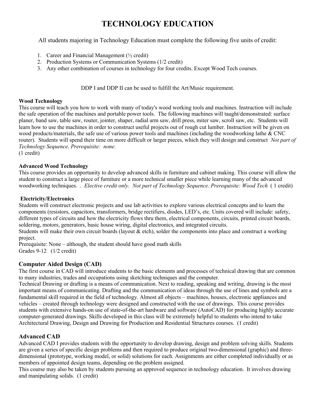## **TECHNOLOGY EDUCATION**

All students majoring in Technology Education must complete the following five units of credit:

- 1. Career and Financial Management  $(\frac{1}{2} \text{ credit})$
- 2. Production Systems or Communication Systems (1/2 credit)
- 3. Any other combination of courses in technology for four credits. Except Wood Tech courses.

DDP I and DDP II can be used to fulfill the Art/Music requirement.

#### **Wood Technology**

This course will teach you how to work with many of today's wood working tools and machines. Instruction will include the safe operation of the machines and portable power tools. The following machines will taught/demonstrated: surface planer, band saw, table saw, router, jointer, shaper, radial arm saw, drill press, miter saw, scroll saw, etc. Students will learn how to use the machines in order to construct useful projects out of rough cut lumber. Instruction will be given on wood products/materials, the safe use of various power tools and machines (including the woodworking lathe & CNC router). Students will spend their time on more difficult or larger pieces, which they will design and construct *Not part of Technology Sequence. Prerequisite: none.* (1 credit)

**Advanced Wood Technology**

This course provides an opportunity to develop advanced skills in furniture and cabinet making. This course will allow the student to construct a large piece of furniture or a more technical smaller piece while learning many of the advanced woodworking techniques. *. Elective credit only. Not part of Technology Sequence. Prerequisite: Wood Tech* ( 1 credit)

#### **Electricity/Electronics**

Students will construct electronic projects and use lab activities to explore various electrical concepts and to learn the components (resistors, capacitors, transformers, bridge rectifiers, diodes, LED's, etc. Units covered will include: safety, different types of circuits and how the electricity flows thru them, electrical components, circuits, printed circuit boards, soldering, motors, generators, basic house wiring, digital electronics, and integrated circuits.

Students will make their own circuit boards (layout & etch), solder the components into place and construct a working project.

Prerequisite: None – although, the student should have good math skills Grades 9-12 (1/2 credit)

#### **Computer Aided Design (CAD)**

The first course in CAD will introduce students to the basic elements and processes of technical drawing that are common to many industries, trades and occupations using sketching techniques and the computer.

Technical Drawing or drafting is a means of communication. Next to reading, speaking and writing, drawing is the most important means of communicating. Drafting and the communication of ideas through the use of lines and symbols are a fundamental skill required in the field of technology. Almost all objects – machines, houses, electronic appliances and vehicles – created through technology were designed and constructed with the use of drawings. This course provides students with extensive hands-on use of state-of-the-art hardware and software (AutoCAD) for producing highly accurate computer-generated drawings. Skills developed in this class will be extremely helpful to students who intend to take Architectural Drawing, Design and Drawing for Production and Residential Structures courses. (1 credit)

#### **Advanced CAD**

Advanced CAD I provides students with the opportunity to develop drawing, design and problem solving skills. Students are given a series of specific design problems and then required to produce original two-dimensional (graphic) and threedimensional (prototype, working model, or solid) solutions for each. Assignments are either completed individually or as members of appointed design teams, depending on the problem assigned.

This course may also be taken by students pursuing an approved sequence in technology education. It involves drawing and manipulating solids. (1 credit)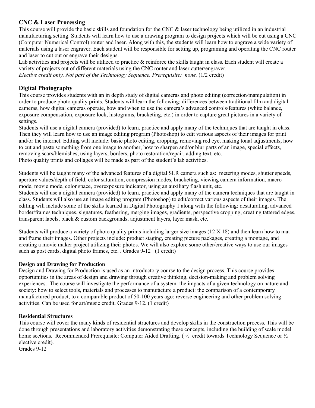#### **CNC & Laser Processing**

This course will provide the basic skills and foundation for the CNC & laser technology being utilized in an industrial manufacturing setting. Students will learn how to use a drawing program to design projects which will be cut using a CNC (Computer Numerical Control) router and laser. Along with this, the students will learn how to engrave a wide variety of materials using a laser engraver. Each student will be responsible for setting up, programing and operating the CNC router and laser to cut out or engrave their designs.

Lab activities and projects will be utilized to practice & reinforce the skills taught in class. Each student will create a variety of projects out of different materials using the CNC router and laser cutter/engraver. *Elective credit only. Not part of the Technology Sequence. Prerequisite: none.* (1/2 credit)

#### **Digital Photography**

This course provides students with an in depth study of digital cameras and photo editing (correction/manipulation) in order to produce photo quality prints. Students will learn the following: differences between traditional film and digital cameras, how digital cameras operate, how and when to use the camera's advanced controls/features (white balance, exposure compensation, exposure lock, histograms, bracketing, etc.) in order to capture great pictures in a variety of settings.

Students will use a digital camera (provided) to learn, practice and apply many of the techniques that are taught in class. Then they will learn how to use an image editing program (Photoshop) to edit various aspects of their images for print and/or the internet. Editing will include: basic photo editing, cropping, removing red eye, making tonal adjustments, how to cut and paste something from one image to another, how to sharpen and/or blur parts of an image, special effects, removing scars/blemishes, using layers, borders, photo restoration/repair, adding text, etc. Photo quality prints and collages will be made as part of the student's lab activities.

Students will be taught many of the advanced features of a digital SLR camera such as: metering modes, shutter speeds, aperture values/depth of field, color saturation, compression modes, bracketing, viewing camera information, macro mode, movie mode, color space, overexposure indicator, using an auxiliary flash unit, etc.

Students will use a digital camera (provided) to learn, practice and apply many of the camera techniques that are taught in class. Students will also use an image editing program (Photoshop) to edit/correct various aspects of their images. The editing will include some of the skills learned in Digital Photography 1 along with the following: desaturating, advanced border/frames techniques, signatures, feathering, merging images, gradients, perspective cropping, creating tattered edges, transparent labels, black & custom backgrounds, adjustment layers, layer mask, etc.

Students will produce a variety of photo quality prints including larger size images (12 X 18) and then learn how to mat and frame their images. Other projects include: product staging, creating picture packages, creating a montage, and creating a movie maker project utilizing their photos. We will also explore some other/creative ways to use our images such as post cards, digital photo frames, etc. . Grades 9-12 (1 credit)

#### **Design and Drawing for Production**

Design and Drawing for Production is used as an introductory course to the design process. This course provides opportunities in the areas of design and drawing through creative thinking, decision-making and problem solving experiences. The course will investigate the performance of a system: the impacts of a given technology on nature and society: how to select tools, materials and processes to manufacture a product: the comparison of a contemporary manufactured product, to a comparable product of 50-100 years ago: reverse engineering and other problem solving activities. Can be used for art/music credit. Grades 9-12. (1 credit)

#### **Residential Structures**

This course will cover the many kinds of residential structures and develop skills in the construction process. This will be done through presentations and laboratory activities demonstrating these concepts, including the building of scale model home sections. Recommended Prerequisite: Computer Aided Drafting. (  $\frac{1}{2}$  credit towards Technology Sequence or  $\frac{1}{2}$ ) elective credit).

Grades 9-12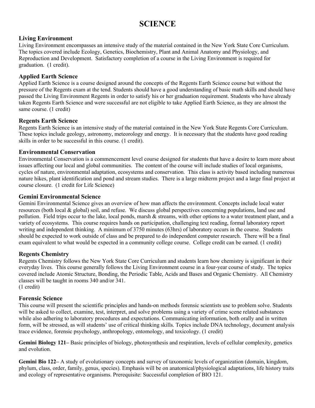## **SCIENCE**

#### **Living Environment**

Living Environment encompasses an intensive study of the material contained in the New York State Core Curriculum. The topics covered include Ecology, Genetics, Biochemistry, Plant and Animal Anatomy and Physiology, and Reproduction and Development. Satisfactory completion of a course in the Living Environment is required for graduation. (1 credit).

#### **Applied Earth Science**

Applied Earth Science is a course designed around the concepts of the Regents Earth Science course but without the pressure of the Regents exam at the tend. Students should have a good understanding of basic math skills and should have passed the Living Environment Regents in order to satisfy his or her graduation requirement. Students who have already taken Regents Earth Science and were successful are not eligible to take Applied Earth Science, as they are almost the same course. (1 credit)

#### **Regents Earth Science**

Regents Earth Science is an intensive study of the material contained in the New York State Regents Core Curriculum. These topics include geology, astronomy, meteorology and energy. It is necessary that the students have good reading skills in order to be successful in this course. (1 credit).

#### **Environmental Conservation**

Environmental Conservation is a commencement level course designed for students that have a desire to learn more about issues affecting our local and global communities. The content of the course will include studies of local organisms, cycles of nature, environmental adaptation, ecosystems and conservation. This class is activity based including numerous nature hikes, plant identification and pond and stream studies. There is a large midterm project and a large final project at course closure. (1 credit for Life Science)

#### **Gemini Environmental Science**

Gemini Environmental Science gives an overview of how man affects the environment. Concepts include local water resources (both local & global) soil, and refuse. We discuss global perspectives concerning populations, land use and pollution. Field trips occur to the lake, local ponds, marsh  $\&$  streams, with other options to a water treatment plant, and a variety of ecosystems. This course requires hands on participation, challenging text reading, formal laboratory report writing and independent thinking. A minimum of 3750 minutes (63hrs) of laboratory occurs in the course. Students should be expected to work outside of class and be prepared to do independent computer research. There will be a final exam equivalent to what would be expected in a community college course. College credit can be earned. (1 credit)

#### **Regents Chemistry**

Regents Chemistry follows the New York State Core Curriculum and students learn how chemistry is significant in their everyday lives. This course generally follows the Living Environment course in a four-year course of study. The topics covered include Atomic Structure, Bonding, the Periodic Table, Acids and Bases and Organic Chemistry. All Chemistry classes will be taught in rooms 340 and/or 341. (1 credit)

#### **Forensic Science**

This course will present the scientific principles and hands-on methods forensic scientists use to problem solve. Students will be asked to collect, examine, test, interpret, and solve problems using a variety of crime scene related substances while also adhering to laboratory procedures and expectations. Communicating information, both orally and in written form, will be stressed, as will students' use of critical thinking skills. Topics include DNA technology, document analysis trace evidence, forensic psychology, anthropology, entomology, and toxicology. (1 credit)

**Gemini Biology 121–** Basic principles of biology, photosynthesis and respiration, levels of cellular complexity, genetics and evolution.

**Gemini Bio 122–** A study of evolutionary concepts and survey of taxonomic levels of organization (domain, kingdom, phylum, class, order, family, genus, species). Emphasis will be on anatomical/physiological adaptations, life history traits and ecology of representative organisms. Prerequisite: Successful completion of BIO 121.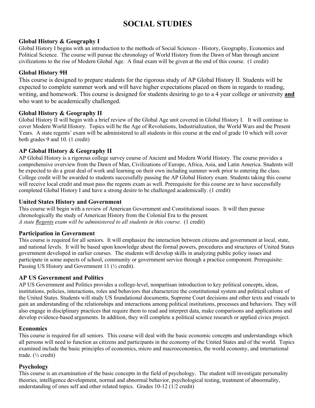## **SOCIAL STUDIES**

#### **Global History & Geography I**

Global History I begins with an introduction to the methods of Social Sciences - History, Geography, Economics and Political Science. The course will pursue the chronology of World History from the Dawn of Man through ancient civilizations to the rise of Modern Global Age. A final exam will be given at the end of this course. (1 credit)

#### **Global History 9H**

This course is designed to prepare students for the rigorous study of AP Global History II. Students will be expected to complete summer work and will have higher expectations placed on them in regards to reading, writing, and homework. This course is designed for students desiring to go to a 4 year college or university **and** who want to be academically challenged.

#### **Global History & Geography II**

Global History II will begin with a brief review of the Global Age unit covered in Global History I. It will continue to cover Modern World History. Topics will be the Age of Revolutions, Industrialization, the World Wars and the Present Years. A state regents' exam will be administered to all students in this course at the end of grade 10 which will cover both grades 9 and 10. (1 credit)

#### **AP Global History & Geography II**

AP Global History is a rigorous college survey course of Ancient and Modern World History. The course provides a comprehensive overview from the Dawn of Man, Civilizations of Europe, Africa, Asia, and Latin America. Students will be expected to do a great deal of work and learning on their own including summer work prior to entering the class. College credit will be awarded to students successfully passing the AP Global History exam. Students taking this course will receive local credit and must pass the regents exam as well. Prerequisite for this course are to have successfully completed Global History I and have a strong desire to be challenged academically. (1 credit)

#### **United States History and Government**

This course will begin with a review of American Government and Constitutional issues. It will then pursue chronologically the study of American History from the Colonial Era to the present*. A state Regents exam will be administered to all students in this course.* (1 credit)

#### **Participation in Government**

This course is required for all seniors. It will emphasize the interaction between citizens and government at local, state, and national levels. It will be based upon knowledge about the formal powers, procedures and structures of United States government developed in earlier courses. The students will develop skills in analyzing public policy issues and participate in some aspects of school, community or government service through a practice component. Prerequisite: Passing US History and Government 11 ( $\frac{1}{2}$  credit).

#### **AP US Government and Politics**

AP US Government and Politics provides a college-level, nonpartisan introduction to key political concepts, ideas, institutions, policies, interactions, roles and behaviors that characterize the constitutional system and political culture of the United States. Students will study US foundational documents, Supreme Court decisions and other texts and visuals to gain an understanding of the relationships and interactions among political institutions, processes and behaviors. They will also engage in disciplinary practices that require them to read and interpret data, make comparisons and applications and develop evidence-based arguments. In addition, they will complete a political science research or applied civics project.

#### **Economics**

This course is required for all seniors. This course will deal with the basic economic concepts and understandings which all persons will need to function as citizens and participants in the economy of the United States and of the world. Topics examined include the basic principles of economics, micro and macroeconomics, the world economy, and international trade. (½ credit)

#### **Psychology**

This course is an examination of the basic concepts in the field of psychology. The student will investigate personality theories, intelligence development, normal and abnormal behavior, psychological testing, treatment of abnormality, understanding of ones self and other related topics. Grades 10-12 (1/2 credit)